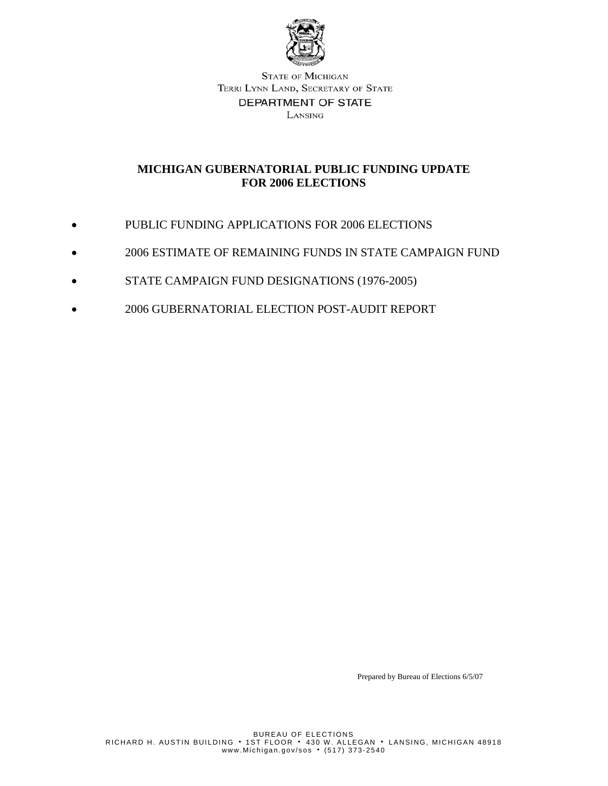

## **MICHIGAN GUBERNATORIAL PUBLIC FUNDING UPDATE FOR 2006 ELECTIONS**

- PUBLIC FUNDING APPLICATIONS FOR 2006 ELECTIONS
- 2006 ESTIMATE OF REMAINING FUNDS IN STATE CAMPAIGN FUND
- STATE CAMPAIGN FUND DESIGNATIONS (1976-2005)
- 2006 GUBERNATORIAL ELECTION POST-AUDIT REPORT

Prepared by Bureau of Elections 6/5/07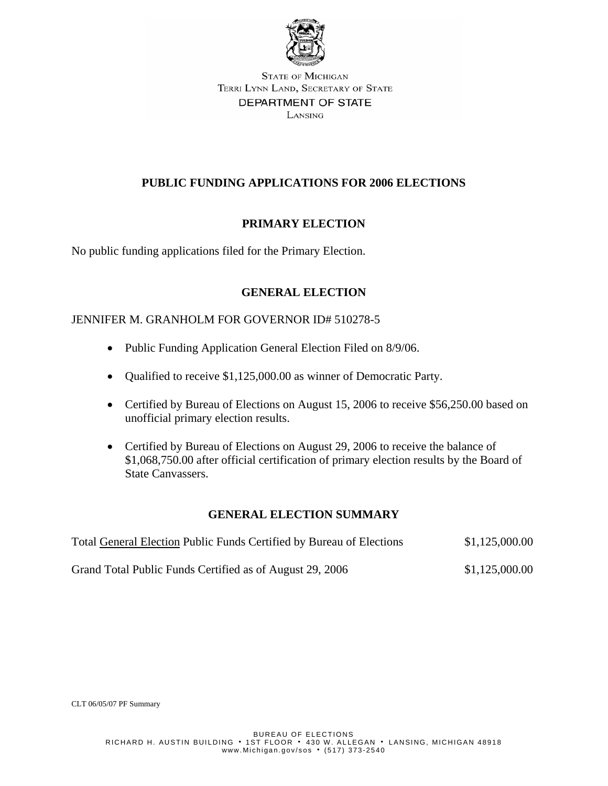

## **PUBLIC FUNDING APPLICATIONS FOR 2006 ELECTIONS**

## **PRIMARY ELECTION**

No public funding applications filed for the Primary Election.

## **GENERAL ELECTION**

### JENNIFER M. GRANHOLM FOR GOVERNOR ID# 510278-5

- Public Funding Application General Election Filed on 8/9/06.
- Qualified to receive \$1,125,000.00 as winner of Democratic Party.
- Certified by Bureau of Elections on August 15, 2006 to receive \$56,250.00 based on unofficial primary election results.
- Certified by Bureau of Elections on August 29, 2006 to receive the balance of \$1,068,750.00 after official certification of primary election results by the Board of State Canvassers.

### **GENERAL ELECTION SUMMARY**

| Total General Election Public Funds Certified by Bureau of Elections | \$1,125,000.00 |
|----------------------------------------------------------------------|----------------|
| Grand Total Public Funds Certified as of August 29, 2006             | \$1,125,000.00 |

CLT 06/05/07 PF Summary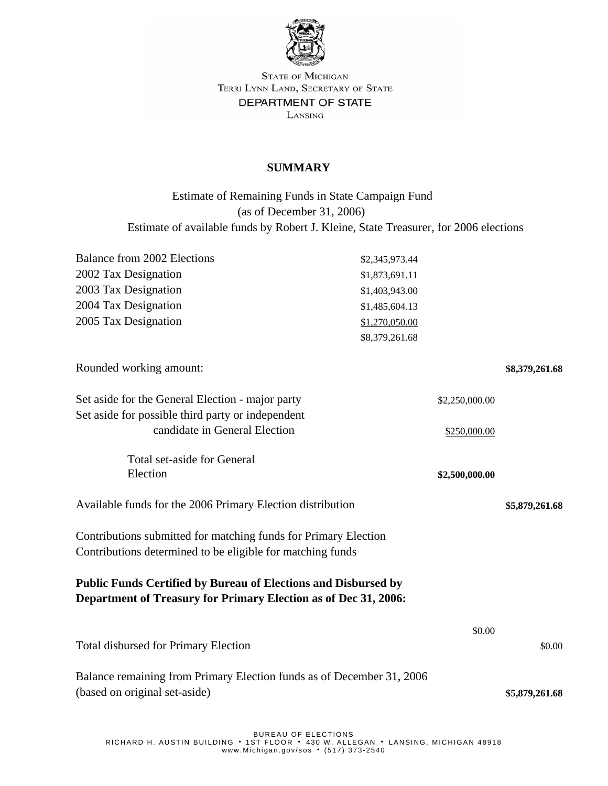

### **SUMMARY**

 Estimate of Remaining Funds in State Campaign Fund (as of December 31, 2006) Estimate of available funds by Robert J. Kleine, State Treasurer, for 2006 elections

| Balance from 2002 Elections                                                                                                              | \$2,345,973.44 |                |
|------------------------------------------------------------------------------------------------------------------------------------------|----------------|----------------|
| 2002 Tax Designation                                                                                                                     | \$1,873,691.11 |                |
| 2003 Tax Designation                                                                                                                     | \$1,403,943.00 |                |
| 2004 Tax Designation                                                                                                                     | \$1,485,604.13 |                |
| 2005 Tax Designation                                                                                                                     | \$1,270,050.00 |                |
|                                                                                                                                          | \$8,379,261.68 |                |
| Rounded working amount:                                                                                                                  |                | \$8,379,261.68 |
| Set aside for the General Election - major party                                                                                         | \$2,250,000.00 |                |
| Set aside for possible third party or independent                                                                                        |                |                |
| candidate in General Election                                                                                                            | \$250,000.00   |                |
| Total set-aside for General                                                                                                              |                |                |
| Election                                                                                                                                 | \$2,500,000.00 |                |
| Available funds for the 2006 Primary Election distribution                                                                               |                | \$5,879,261.68 |
| Contributions submitted for matching funds for Primary Election<br>Contributions determined to be eligible for matching funds            |                |                |
| <b>Public Funds Certified by Bureau of Elections and Disbursed by</b><br>Department of Treasury for Primary Election as of Dec 31, 2006: |                |                |
|                                                                                                                                          | \$0.00         |                |
| <b>Total disbursed for Primary Election</b>                                                                                              |                | \$0.00         |
| Balance remaining from Primary Election funds as of December 31, 2006<br>(based on original set-aside)                                   |                | \$5,879,261.68 |
|                                                                                                                                          |                |                |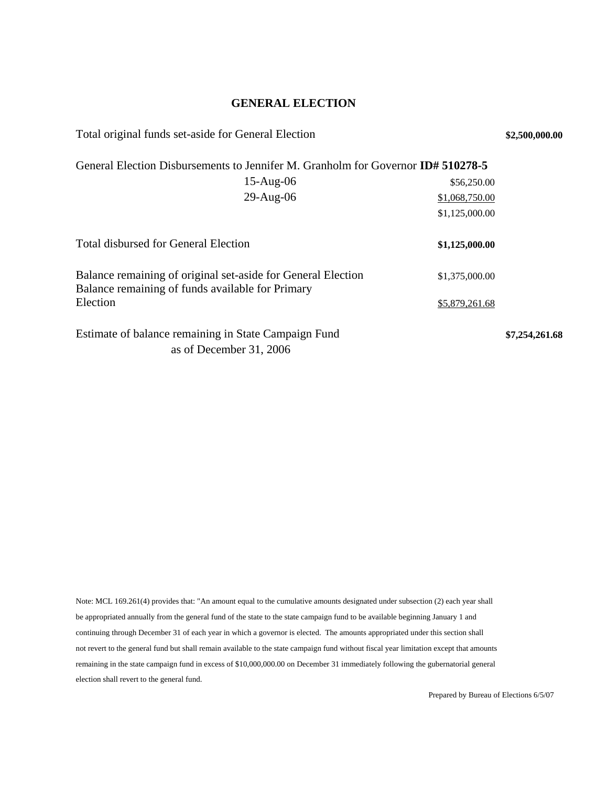#### **GENERAL ELECTION**

| Total original funds set-aside for General Election<br>\$2,500,000.00                                            |                |                |  |  |  |
|------------------------------------------------------------------------------------------------------------------|----------------|----------------|--|--|--|
| General Election Disbursements to Jennifer M. Granholm for Governor <b>ID# 510278-5</b>                          |                |                |  |  |  |
| $15-Aug-06$                                                                                                      | \$56,250.00    |                |  |  |  |
| $29$ -Aug-06                                                                                                     | \$1,068,750.00 |                |  |  |  |
|                                                                                                                  | \$1,125,000.00 |                |  |  |  |
| <b>Total disbursed for General Election</b>                                                                      | \$1,125,000.00 |                |  |  |  |
| Balance remaining of original set-aside for General Election<br>Balance remaining of funds available for Primary | \$1,375,000.00 |                |  |  |  |
| Election                                                                                                         | \$5,879,261.68 |                |  |  |  |
| Estimate of balance remaining in State Campaign Fund<br>as of December 31, 2006                                  |                | \$7,254,261.68 |  |  |  |

Note: MCL 169.261(4) provides that: "An amount equal to the cumulative amounts designated under subsection (2) each year shall be appropriated annually from the general fund of the state to the state campaign fund to be available beginning January 1 and continuing through December 31 of each year in which a governor is elected. The amounts appropriated under this section shall not revert to the general fund but shall remain available to the state campaign fund without fiscal year limitation except that amounts remaining in the state campaign fund in excess of \$10,000,000.00 on December 31 immediately following the gubernatorial general election shall revert to the general fund.

Prepared by Bureau of Elections 6/5/07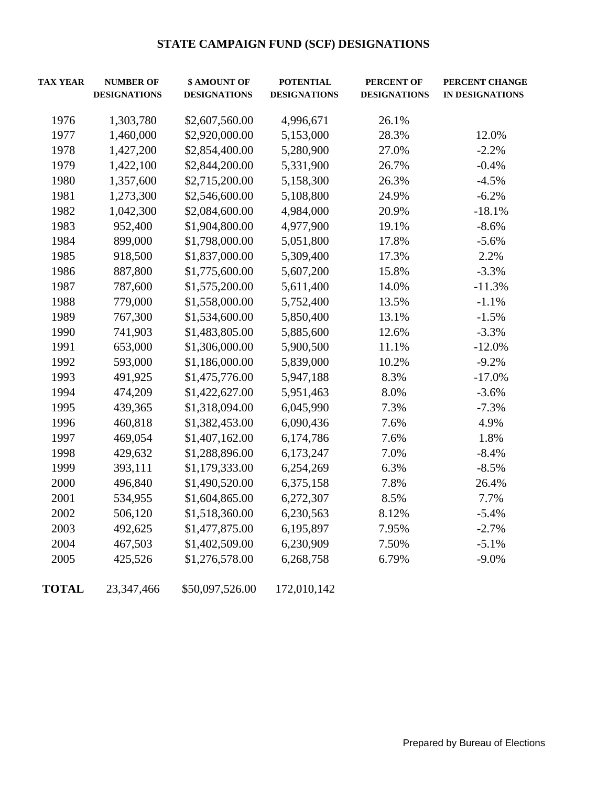## **STATE CAMPAIGN FUND (SCF) DESIGNATIONS**

| <b>TAX YEAR</b> | \$ AMOUNT OF<br><b>NUMBER OF</b><br><b>POTENTIAL</b><br><b>PERCENT OF</b><br><b>DESIGNATIONS</b><br><b>DESIGNATIONS</b><br><b>DESIGNATIONS</b><br><b>DESIGNATIONS</b> |                | PERCENT CHANGE<br><b>IN DESIGNATIONS</b> |       |          |
|-----------------|-----------------------------------------------------------------------------------------------------------------------------------------------------------------------|----------------|------------------------------------------|-------|----------|
| 1976            | 1,303,780                                                                                                                                                             | \$2,607,560.00 | 4,996,671                                | 26.1% |          |
| 1977            | 1,460,000                                                                                                                                                             | \$2,920,000.00 | 5,153,000                                | 28.3% | 12.0%    |
| 1978            | 1,427,200                                                                                                                                                             | \$2,854,400.00 | 5,280,900                                | 27.0% | $-2.2%$  |
| 1979            | 1,422,100                                                                                                                                                             | \$2,844,200.00 | 5,331,900                                | 26.7% | $-0.4%$  |
| 1980            | 1,357,600                                                                                                                                                             | \$2,715,200.00 | 5,158,300                                | 26.3% | $-4.5%$  |
| 1981            | 1,273,300                                                                                                                                                             | \$2,546,600.00 | 5,108,800                                | 24.9% | $-6.2%$  |
| 1982            | 1,042,300                                                                                                                                                             | \$2,084,600.00 | 4,984,000                                | 20.9% | $-18.1%$ |
| 1983            | 952,400                                                                                                                                                               | \$1,904,800.00 | 4,977,900                                | 19.1% | $-8.6%$  |
| 1984            | 899,000                                                                                                                                                               | \$1,798,000.00 | 5,051,800                                | 17.8% | $-5.6%$  |
| 1985            | 918,500                                                                                                                                                               | \$1,837,000.00 | 5,309,400                                | 17.3% | 2.2%     |
| 1986            | 887,800                                                                                                                                                               | \$1,775,600.00 | 5,607,200                                | 15.8% | $-3.3%$  |
| 1987            | 787,600                                                                                                                                                               | \$1,575,200.00 | 5,611,400                                | 14.0% | $-11.3%$ |
| 1988            | 779,000                                                                                                                                                               | \$1,558,000.00 | 5,752,400                                | 13.5% | $-1.1%$  |
| 1989            | 767,300                                                                                                                                                               | \$1,534,600.00 | 5,850,400                                | 13.1% | $-1.5%$  |
| 1990            | 741,903                                                                                                                                                               | \$1,483,805.00 | 5,885,600                                | 12.6% | $-3.3%$  |
| 1991            | 653,000                                                                                                                                                               | \$1,306,000.00 | 5,900,500                                | 11.1% | $-12.0%$ |
| 1992            | 593,000                                                                                                                                                               | \$1,186,000.00 | 5,839,000                                | 10.2% | $-9.2%$  |
| 1993            | 491,925                                                                                                                                                               | \$1,475,776.00 | 5,947,188                                | 8.3%  | $-17.0%$ |
| 1994            | 474,209                                                                                                                                                               | \$1,422,627.00 | 5,951,463                                | 8.0%  | $-3.6%$  |
| 1995            | 439,365                                                                                                                                                               | \$1,318,094.00 | 6,045,990                                | 7.3%  | $-7.3%$  |
| 1996            | 460,818                                                                                                                                                               | \$1,382,453.00 | 6,090,436                                | 7.6%  | 4.9%     |
| 1997            | 469,054                                                                                                                                                               | \$1,407,162.00 | 6,174,786                                | 7.6%  | 1.8%     |
| 1998            | 429,632                                                                                                                                                               | \$1,288,896.00 | 6,173,247                                | 7.0%  | $-8.4%$  |
| 1999            | 393,111                                                                                                                                                               | \$1,179,333.00 | 6,254,269                                | 6.3%  | $-8.5%$  |
| 2000            | 496,840                                                                                                                                                               | \$1,490,520.00 | 6,375,158                                | 7.8%  | 26.4%    |
| 2001            | 534,955                                                                                                                                                               | \$1,604,865.00 | 6,272,307                                | 8.5%  | 7.7%     |
| 2002            | 506,120                                                                                                                                                               | \$1,518,360.00 | 6,230,563                                | 8.12% | $-5.4%$  |
| 2003            | 492,625                                                                                                                                                               | \$1,477,875.00 | 6,195,897                                | 7.95% | $-2.7%$  |
| 2004            | 467,503                                                                                                                                                               | \$1,402,509.00 | 6,230,909                                | 7.50% | $-5.1%$  |
| 2005            | 425,526                                                                                                                                                               | \$1,276,578.00 | 6,268,758                                | 6.79% | $-9.0%$  |

**TOTAL** 23,347,466 \$50,097,526.00 172,010,142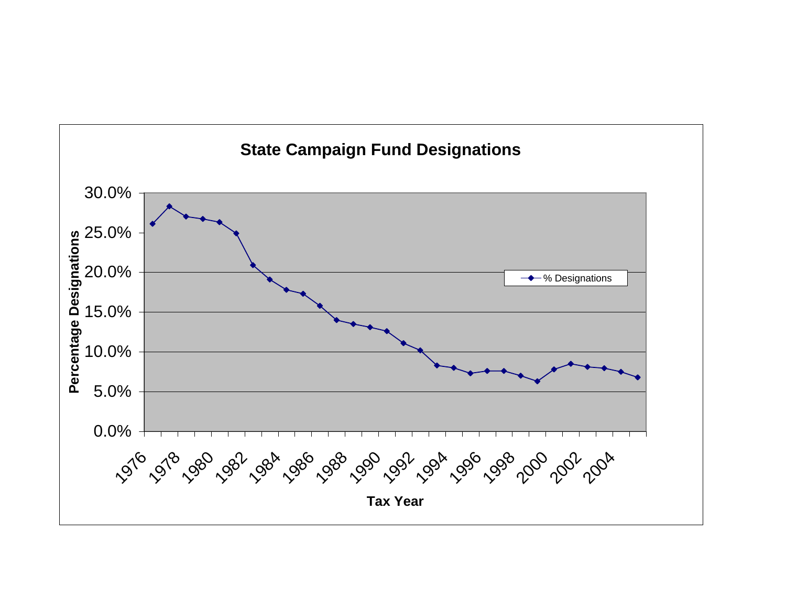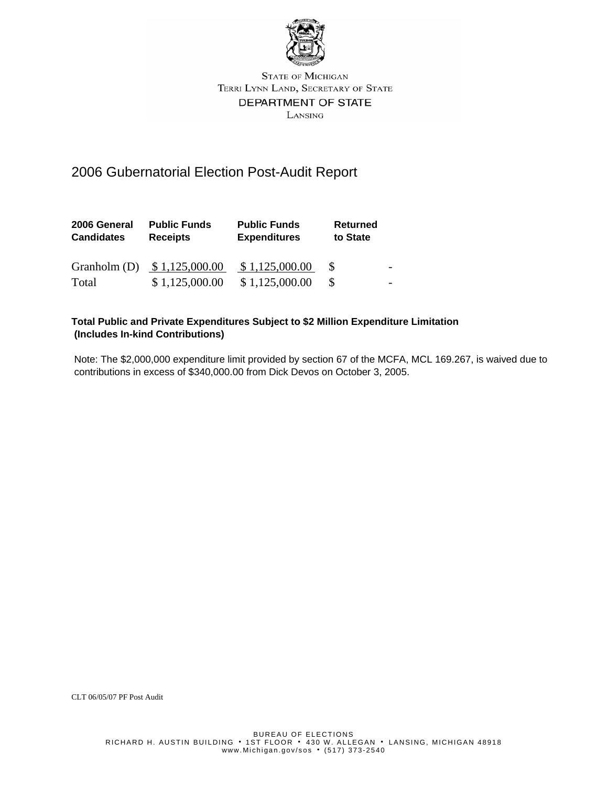

# 2006 Gubernatorial Election Post-Audit Report

| 2006 General<br><b>Candidates</b> | <b>Public Funds</b><br><b>Receipts</b> | <b>Public Funds</b><br><b>Expenditures</b> | <b>Returned</b><br>to State |  |
|-----------------------------------|----------------------------------------|--------------------------------------------|-----------------------------|--|
|                                   | Granholm (D) $$1,125,000.00$           | \$1,125,000.00                             |                             |  |
| Total                             | \$1,125,000.00                         | \$1,125,000.00                             |                             |  |

#### **Total Public and Private Expenditures Subject to \$2 Million Expenditure Limitation (Includes In-kind Contributions)**

 Note: The \$2,000,000 expenditure limit provided by section 67 of the MCFA, MCL 169.267, is waived due to contributions in excess of \$340,000.00 from Dick Devos on October 3, 2005.

CLT 06/05/07 PF Post Audit